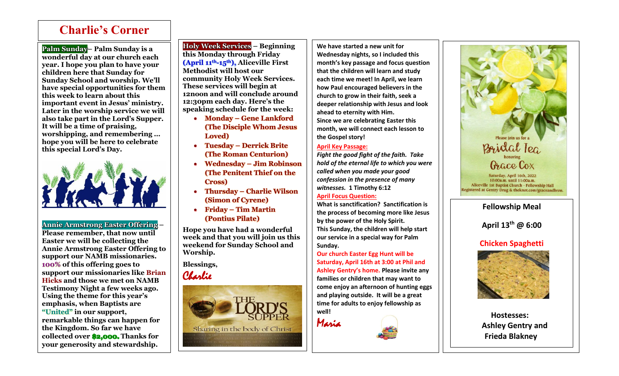## **Charlie's Corner**

Ī

**Palm Sunday– Palm Sunday is a wonderful day at our church each year. I hope you plan to have your children here that Sunday for Sunday School and worship. We'll have special opportunities for them this week to learn about this important event in Jesus' ministry. Later in the worship service we will also take part in the Lord's Supper. It will be a time of praising, worshipping, and remembering … hope you will be here to celebrate this special Lord's Day.**



**Annie Armstrong Easter Offering –**

**Please remember, that now until Easter we will be collecting the Annie Armstrong Easter Offering to support our NAMB missionaries. 100% of this offering goes to support our missionaries like Brian Hicks and those we met on NAMB Testimony Night a few weeks ago. Using the theme for this year's emphasis, when Baptists are "United" in our support, remarkable things can happen for the Kingdom. So far we have collected over \$2,000. Thanks for your generosity and stewardship.**

**Holy Week Services – Beginning this Monday through Friday (April 11th-15th), Aliceville First Methodist will host our community Holy Week Services. These services will begin at 12noon and will conclude around 12:30pm each day. Here's the speaking schedule for the week:**

- **Monday – Gene Lankford (The Disciple Whom Jesus Loved)**
- **Tuesday – Derrick Brite (The Roman Centurion)**
- **Wednesday – Jim Robinson (The Penitent Thief on the Cross)**
- **Thursday – Charlie Wilson (Simon of Cyrene)**
- **Friday – Tim Martin (Pontius Pilate)**

**Hope you have had a wonderful week and that you will join us this weekend for Sunday School and Worship.** 

**Blessings,** Charlie



**We have started a new unit for Wednesday nights, so I included this month's key passage and focus question that the children will learn and study each time we meet! In April, we learn how Paul encouraged believers in the church to grow in their faith, seek a deeper relationship with Jesus and look ahead to eternity with Him. Since we are celebrating Easter this month, we will connect each lesson to the Gospel story!**

## **April Key Passage:**

*Fight the good fight of the faith. Take hold of the eternal life to which you were called when you made your good confession in the presence of many witnesses.* **1 Timothy 6:12**

## **April Focus Question:**

**What is sanctification? Sanctification is the process of becoming more like Jesus by the power of the Holy Spirit. This Sunday, the children will help start our service in a special way for Palm Sunday.**

**Our church Easter Egg Hunt will be Saturday, April 16th at 3:00 at Phil and Ashley Gentry's home. Please invite any families or children that may want to come enjoy an afternoon of hunting eggs and playing outside. It will be a great time for adults to enjoy fellowship as well!**









**Hostesses: Ashley Gentry and Frieda Blakney**